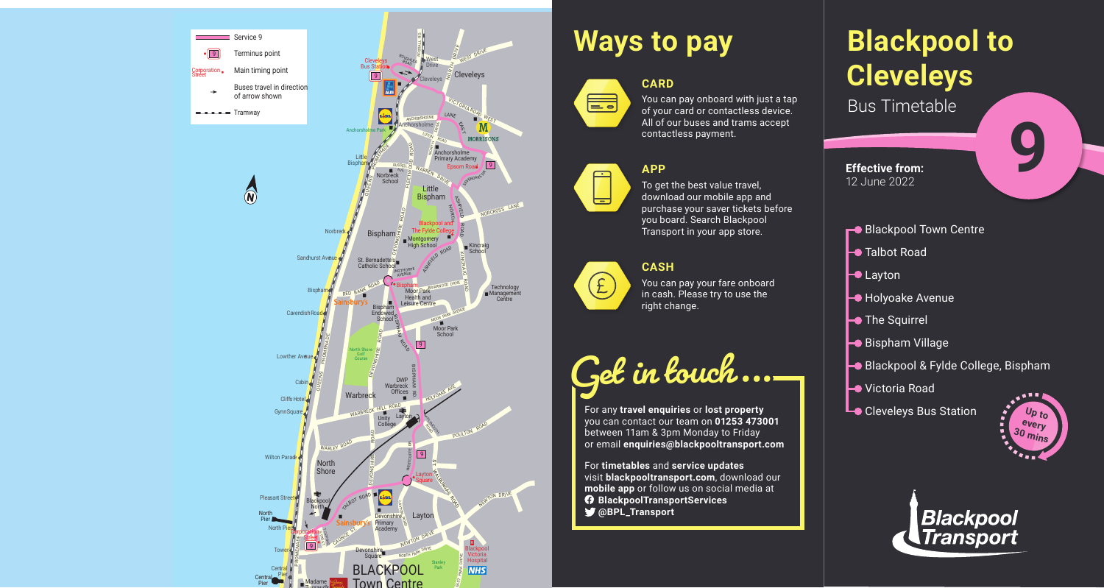



# **Blackpool to Cleveleys** Bus Timetable **9**

- Blackpool Town Centre
- **Talbot Road**
- $\vdash$  Layton
- **Holyoake Avenue**
- $\vdash$  The Squirrel
- Bispham Village
- Blackpool & Fylde College, Bispham
- Victoria Road
- **Le** Cleveleys Bus Station **Property**

You can pay onboard with just a tap of your card or contactless device. All of our buses and trams accept contactless payment.



# **Ways to pay**



### **APP**



To get the best value travel, download our mobile app and purchase your saver tickets before you board. Search Blackpool Transport in your app store.

### **CASH**



You can pay your fare onboard in cash. Please try to use the right change.

**Get in touch...**

For any **travel enquiries** or **lost property** you can contact our team on **01253 473001** between 11am & 3pm Monday to Friday or email **enquiries@blackpooltransport.com**

For **timetables** and **service updates** visit **blackpooltransport.com**, download our **mobile app** or follow us on social media at **BlackpoolTransportServices @BPL\_Transport**



**Effective from:** 12 June 2022